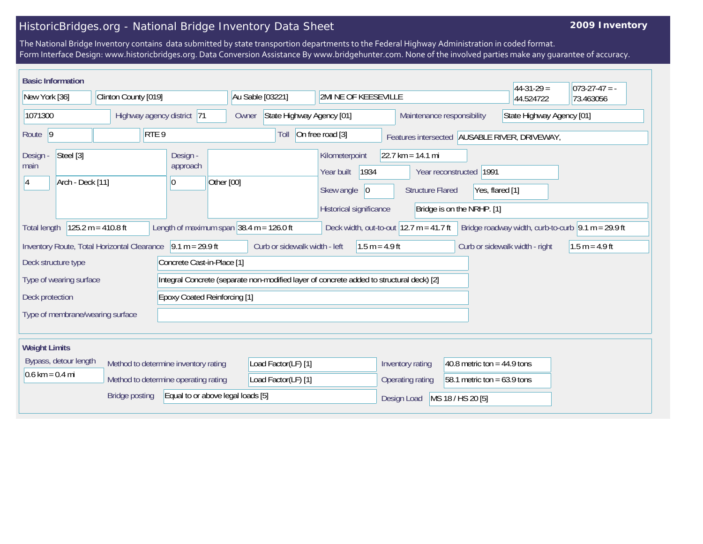## HistoricBridges.org - National Bridge Inventory Data Sheet

## **2009 Inventory**

The National Bridge Inventory contains data submitted by state transportion departments to the Federal Highway Administration in coded format. Form Interface Design: www.historicbridges.org. Data Conversion Assistance By www.bridgehunter.com. None of the involved parties make any guarantee of accuracy.

| <b>Basic Information</b>                                                                                              |                                                               |                                  |                  |                                                              |                                                   |                                    |                                                                                          |                  |                                                                       |                                |                                                         |                                                                |                                                         |                 | $44-31-29=$                                   | $073-27-47 = -$                                             |
|-----------------------------------------------------------------------------------------------------------------------|---------------------------------------------------------------|----------------------------------|------------------|--------------------------------------------------------------|---------------------------------------------------|------------------------------------|------------------------------------------------------------------------------------------|------------------|-----------------------------------------------------------------------|--------------------------------|---------------------------------------------------------|----------------------------------------------------------------|---------------------------------------------------------|-----------------|-----------------------------------------------|-------------------------------------------------------------|
| New York [36]                                                                                                         |                                                               | Clinton County [019]             |                  |                                                              |                                                   | Au Sable [03221]                   |                                                                                          |                  | <b>2MI NE OF KEESEVILLE</b>                                           |                                |                                                         |                                                                |                                                         | 44.524722       | 73.463056                                     |                                                             |
| 1071300                                                                                                               |                                                               | Highway agency district 71       |                  |                                                              |                                                   | State Highway Agency [01]<br>Owner |                                                                                          |                  |                                                                       |                                | State Highway Agency [01]<br>Maintenance responsibility |                                                                |                                                         |                 |                                               |                                                             |
| Route 9                                                                                                               |                                                               |                                  | RTE <sub>9</sub> |                                                              |                                                   |                                    | Toll                                                                                     | On free road [3] |                                                                       |                                |                                                         |                                                                |                                                         |                 | Features intersected AUSABLE RIVER, DRIVEWAY, |                                                             |
| Design -<br>main<br>14                                                                                                | Steel [3]<br>Arch - Deck [11]                                 |                                  |                  | Design -<br>approach<br>0                                    | Other [00]                                        |                                    |                                                                                          |                  | Kilometerpoint<br>Year built<br>Skew angle<br>Historical significance | 1934<br> 0                     |                                                         | $22.7 \text{ km} = 14.1 \text{ mi}$<br><b>Structure Flared</b> | Year reconstructed   1991<br>Bridge is on the NRHP. [1] | Yes, flared [1] |                                               |                                                             |
| <b>Total length</b>                                                                                                   |                                                               | $125.2 m = 410.8 ft$             |                  | Length of maximum span $ 38.4 \text{ m} = 126.0 \text{ ft} $ |                                                   |                                    |                                                                                          |                  |                                                                       |                                |                                                         | Deck width, out-to-out $ 12.7 \text{ m} = 41.7 \text{ ft} $    |                                                         |                 |                                               | Bridge roadway width, curb-to-curb $\sqrt{9.1}$ m = 29.9 ft |
| Inventory Route, Total Horizontal Clearance<br>$9.1 m = 29.9 ft$<br>Deck structure type<br>Concrete Cast-in-Place [1] |                                                               |                                  |                  |                                                              | Curb or sidewalk width - left<br>$1.5 m = 4.9 ft$ |                                    |                                                                                          |                  |                                                                       | Curb or sidewalk width - right | $1.5 m = 4.9 ft$                                        |                                                                |                                                         |                 |                                               |                                                             |
| Type of wearing surface                                                                                               |                                                               |                                  |                  |                                                              |                                                   |                                    | Integral Concrete (separate non-modified layer of concrete added to structural deck) [2] |                  |                                                                       |                                |                                                         |                                                                |                                                         |                 |                                               |                                                             |
| Deck protection                                                                                                       |                                                               |                                  |                  | <b>Epoxy Coated Reinforcing [1]</b>                          |                                                   |                                    |                                                                                          |                  |                                                                       |                                |                                                         |                                                                |                                                         |                 |                                               |                                                             |
|                                                                                                                       |                                                               | Type of membrane/wearing surface |                  |                                                              |                                                   |                                    |                                                                                          |                  |                                                                       |                                |                                                         |                                                                |                                                         |                 |                                               |                                                             |
| <b>Weight Limits</b>                                                                                                  |                                                               |                                  |                  |                                                              |                                                   |                                    |                                                                                          |                  |                                                                       |                                |                                                         |                                                                |                                                         |                 |                                               |                                                             |
|                                                                                                                       | Bypass, detour length<br>Method to determine inventory rating |                                  |                  |                                                              | Load Factor(LF) [1]                               |                                    |                                                                                          |                  | 40.8 metric ton = $44.9$ tons<br>Inventory rating                     |                                |                                                         |                                                                |                                                         |                 |                                               |                                                             |
| $0.6 \text{ km} = 0.4 \text{ mi}$                                                                                     |                                                               |                                  |                  | Method to determine operating rating                         |                                                   |                                    | Load Factor(LF) [1]                                                                      |                  |                                                                       |                                | Operating rating                                        |                                                                | 58.1 metric ton = $63.9$ tons                           |                 |                                               |                                                             |
|                                                                                                                       |                                                               | <b>Bridge posting</b>            |                  | Equal to or above legal loads [5]                            |                                                   |                                    |                                                                                          |                  |                                                                       |                                | Design Load                                             |                                                                | MS 18 / HS 20 [5]                                       |                 |                                               |                                                             |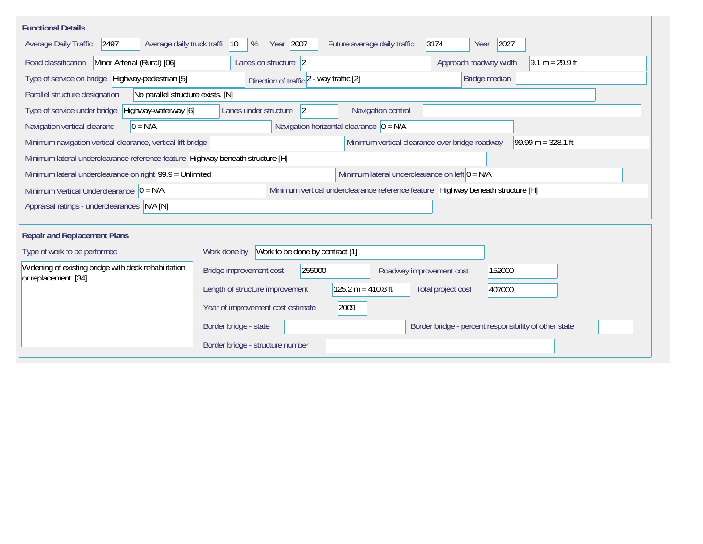| <b>Functional Details</b>                                                                                                                             |                                                                                         |  |  |  |  |  |  |  |  |  |  |
|-------------------------------------------------------------------------------------------------------------------------------------------------------|-----------------------------------------------------------------------------------------|--|--|--|--|--|--|--|--|--|--|
| Year 2007<br>2027<br>Average daily truck traffi<br>Future average daily traffic<br>3174<br>Average Daily Traffic<br>2497<br>$ 10\rangle$<br>%<br>Year |                                                                                         |  |  |  |  |  |  |  |  |  |  |
| Minor Arterial (Rural) [06]<br>Road classification                                                                                                    | Approach roadway width<br>Lanes on structure 2<br>$9.1 m = 29.9 ft$                     |  |  |  |  |  |  |  |  |  |  |
| Type of service on bridge Highway-pedestrian [5]                                                                                                      | Bridge median<br>Direction of traffic 2 - way traffic [2]                               |  |  |  |  |  |  |  |  |  |  |
| Parallel structure designation<br>No parallel structure exists. [N]                                                                                   |                                                                                         |  |  |  |  |  |  |  |  |  |  |
| Type of service under bridge<br>Highway-waterway [6]                                                                                                  | 2<br>Navigation control<br>Lanes under structure                                        |  |  |  |  |  |  |  |  |  |  |
| Navigation horizontal clearance $ 0 = N/A$<br>Navigation vertical clearanc<br>$0 = N/A$                                                               |                                                                                         |  |  |  |  |  |  |  |  |  |  |
| Minimum vertical clearance over bridge roadway<br>$99.99 m = 328.1 ft$<br>Minimum navigation vertical clearance, vertical lift bridge                 |                                                                                         |  |  |  |  |  |  |  |  |  |  |
| Minimum lateral underclearance reference feature Highway beneath structure [H]                                                                        |                                                                                         |  |  |  |  |  |  |  |  |  |  |
| Minimum lateral underclearance on left $0 = N/A$<br>Minimum lateral underclearance on right $99.9 =$ Unlimited                                        |                                                                                         |  |  |  |  |  |  |  |  |  |  |
| Minimum vertical underclearance reference feature Highway beneath structure [H]<br>Minimum Vertical Underclearance $ 0 = N/A$                         |                                                                                         |  |  |  |  |  |  |  |  |  |  |
| Appraisal ratings - underclearances N/A [N]                                                                                                           |                                                                                         |  |  |  |  |  |  |  |  |  |  |
|                                                                                                                                                       |                                                                                         |  |  |  |  |  |  |  |  |  |  |
| <b>Repair and Replacement Plans</b>                                                                                                                   |                                                                                         |  |  |  |  |  |  |  |  |  |  |
| Work to be done by contract [1]<br>Type of work to be performed<br>Work done by                                                                       |                                                                                         |  |  |  |  |  |  |  |  |  |  |
| Widening of existing bridge with deck rehabilitation<br>or replacement. [34]                                                                          | 255000<br>Bridge improvement cost<br>152000<br>Roadway improvement cost                 |  |  |  |  |  |  |  |  |  |  |
|                                                                                                                                                       | $125.2 m = 410.8 ft$<br>Length of structure improvement<br>Total project cost<br>407000 |  |  |  |  |  |  |  |  |  |  |
|                                                                                                                                                       | 2009<br>Year of improvement cost estimate                                               |  |  |  |  |  |  |  |  |  |  |
|                                                                                                                                                       | Border bridge - state<br>Border bridge - percent responsibility of other state          |  |  |  |  |  |  |  |  |  |  |
|                                                                                                                                                       | Border bridge - structure number                                                        |  |  |  |  |  |  |  |  |  |  |